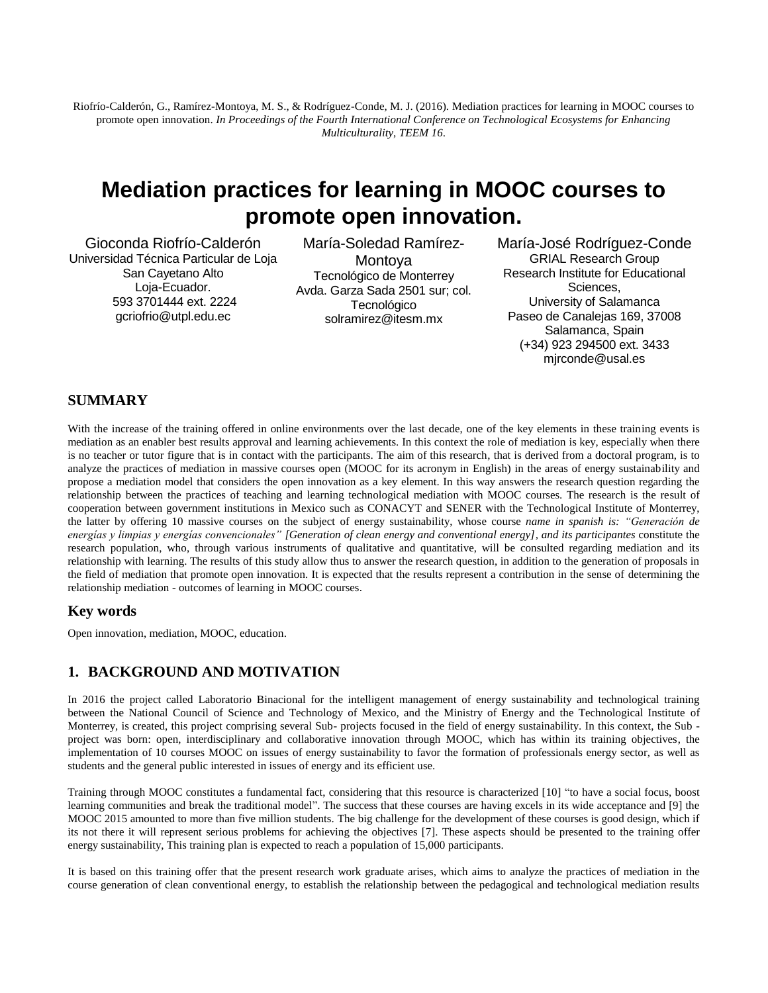Riofrío-Calderón, G., Ramírez-Montoya, M. S., & Rodríguez-Conde, M. J. (2016). Mediation practices for learning in MOOC courses to promote open innovation. *In Proceedings of the Fourth International Conference on Technological Ecosystems for Enhancing Multiculturality*, *TEEM 16*.

# **Mediation practices for learning in MOOC courses to promote open innovation.**

Gioconda Riofrío-Calderón Universidad Técnica Particular de Loja San Cayetano Alto Loja-Ecuador. 593 3701444 ext. 2224 gcriofrio@utpl.edu.ec

María-Soledad Ramírez-

Montoya Tecnológico de Monterrey Avda. Garza Sada 2501 sur; col. Tecnológico solramirez@itesm.mx

María-José Rodríguez-Conde GRIAL Research Group Research Institute for Educational Sciences, University of Salamanca Paseo de Canalejas 169, 37008 Salamanca, Spain (+34) 923 294500 ext. 3433 mjrconde@usal.es

## **SUMMARY**

With the increase of the training offered in online environments over the last decade, one of the key elements in these training events is mediation as an enabler best results approval and learning achievements. In this context the role of mediation is key, especially when there is no teacher or tutor figure that is in contact with the participants. The aim of this research, that is derived from a doctoral program, is to analyze the practices of mediation in massive courses open (MOOC for its acronym in English) in the areas of energy sustainability and propose a mediation model that considers the open innovation as a key element. In this way answers the research question regarding the relationship between the practices of teaching and learning technological mediation with MOOC courses. The research is the result of cooperation between government institutions in Mexico such as CONACYT and SENER with the Technological Institute of Monterrey, the latter by offering 10 massive courses on the subject of energy sustainability, whose course *name in spanish is: "Generación de energías y limpias y energías convencionales" [Generation of clean energy and conventional energy], and its participantes* constitute the research population, who, through various instruments of qualitative and quantitative, will be consulted regarding mediation and its relationship with learning. The results of this study allow thus to answer the research question, in addition to the generation of proposals in the field of mediation that promote open innovation. It is expected that the results represent a contribution in the sense of determining the relationship mediation - outcomes of learning in MOOC courses.

#### **Key words**

Open innovation, mediation, MOOC, education.

## **1. BACKGROUND AND MOTIVATION**

In 2016 the project called Laboratorio Binacional for the intelligent management of energy sustainability and technological training between the National Council of Science and Technology of Mexico, and the Ministry of Energy and the Technological Institute of Monterrey, is created, this project comprising several Sub- projects focused in the field of energy sustainability. In this context, the Sub project was born: open, interdisciplinary and collaborative innovation through MOOC, which has within its training objectives, the implementation of 10 courses MOOC on issues of energy sustainability to favor the formation of professionals energy sector, as well as students and the general public interested in issues of energy and its efficient use.

Training through MOOC constitutes a fundamental fact, considering that this resource is characterized [10] "to have a social focus, boost learning communities and break the traditional model". The success that these courses are having excels in its wide acceptance and [9] the MOOC 2015 amounted to more than five million students. The big challenge for the development of these courses is good design, which if its not there it will represent serious problems for achieving the objectives [7]. These aspects should be presented to the training offer energy sustainability, This training plan is expected to reach a population of 15,000 participants.

It is based on this training offer that the present research work graduate arises, which aims to analyze the practices of mediation in the course generation of clean conventional energy, to establish the relationship between the pedagogical and technological mediation results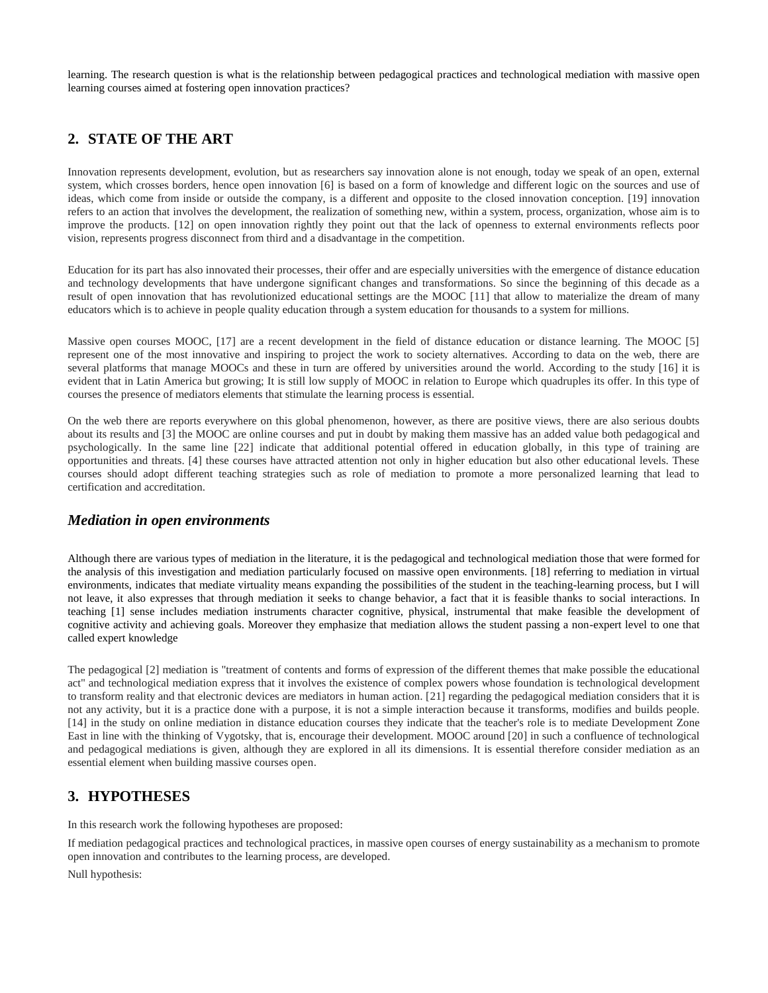learning. The research question is what is the relationship between pedagogical practices and technological mediation with massive open learning courses aimed at fostering open innovation practices?

## **2. STATE OF THE ART**

Innovation represents development, evolution, but as researchers say innovation alone is not enough, today we speak of an open, external system, which crosses borders, hence open innovation [6] is based on a form of knowledge and different logic on the sources and use of ideas, which come from inside or outside the company, is a different and opposite to the closed innovation conception. [19] innovation refers to an action that involves the development, the realization of something new, within a system, process, organization, whose aim is to improve the products. [12] on open innovation rightly they point out that the lack of openness to external environments reflects poor vision, represents progress disconnect from third and a disadvantage in the competition.

Education for its part has also innovated their processes, their offer and are especially universities with the emergence of distance education and technology developments that have undergone significant changes and transformations. So since the beginning of this decade as a result of open innovation that has revolutionized educational settings are the MOOC [11] that allow to materialize the dream of many educators which is to achieve in people quality education through a system education for thousands to a system for millions.

Massive open courses MOOC, [17] are a recent development in the field of distance education or distance learning. The MOOC [5] represent one of the most innovative and inspiring to project the work to society alternatives. According to data on the web, there are several platforms that manage MOOCs and these in turn are offered by universities around the world. According to the study [16] it is evident that in Latin America but growing; It is still low supply of MOOC in relation to Europe which quadruples its offer. In this type of courses the presence of mediators elements that stimulate the learning process is essential.

On the web there are reports everywhere on this global phenomenon, however, as there are positive views, there are also serious doubts about its results and [3] the MOOC are online courses and put in doubt by making them massive has an added value both pedagogical and psychologically. In the same line [22] indicate that additional potential offered in education globally, in this type of training are opportunities and threats. [4] these courses have attracted attention not only in higher education but also other educational levels. These courses should adopt different teaching strategies such as role of mediation to promote a more personalized learning that lead to certification and accreditation.

#### *Mediation in open environments*

Although there are various types of mediation in the literature, it is the pedagogical and technological mediation those that were formed for the analysis of this investigation and mediation particularly focused on massive open environments. [18] referring to mediation in virtual environments, indicates that mediate virtuality means expanding the possibilities of the student in the teaching-learning process, but I will not leave, it also expresses that through mediation it seeks to change behavior, a fact that it is feasible thanks to social interactions. In teaching [1] sense includes mediation instruments character cognitive, physical, instrumental that make feasible the development of cognitive activity and achieving goals. Moreover they emphasize that mediation allows the student passing a non-expert level to one that called expert knowledge

The pedagogical [2] mediation is "treatment of contents and forms of expression of the different themes that make possible the educational act" and technological mediation express that it involves the existence of complex powers whose foundation is technological development to transform reality and that electronic devices are mediators in human action. [21] regarding the pedagogical mediation considers that it is not any activity, but it is a practice done with a purpose, it is not a simple interaction because it transforms, modifies and builds people. [14] in the study on online mediation in distance education courses they indicate that the teacher's role is to mediate Development Zone East in line with the thinking of Vygotsky, that is, encourage their development. MOOC around [20] in such a confluence of technological and pedagogical mediations is given, although they are explored in all its dimensions. It is essential therefore consider mediation as an essential element when building massive courses open.

#### **3. HYPOTHESES**

In this research work the following hypotheses are proposed:

If mediation pedagogical practices and technological practices, in massive open courses of energy sustainability as a mechanism to promote open innovation and contributes to the learning process, are developed.

Null hypothesis: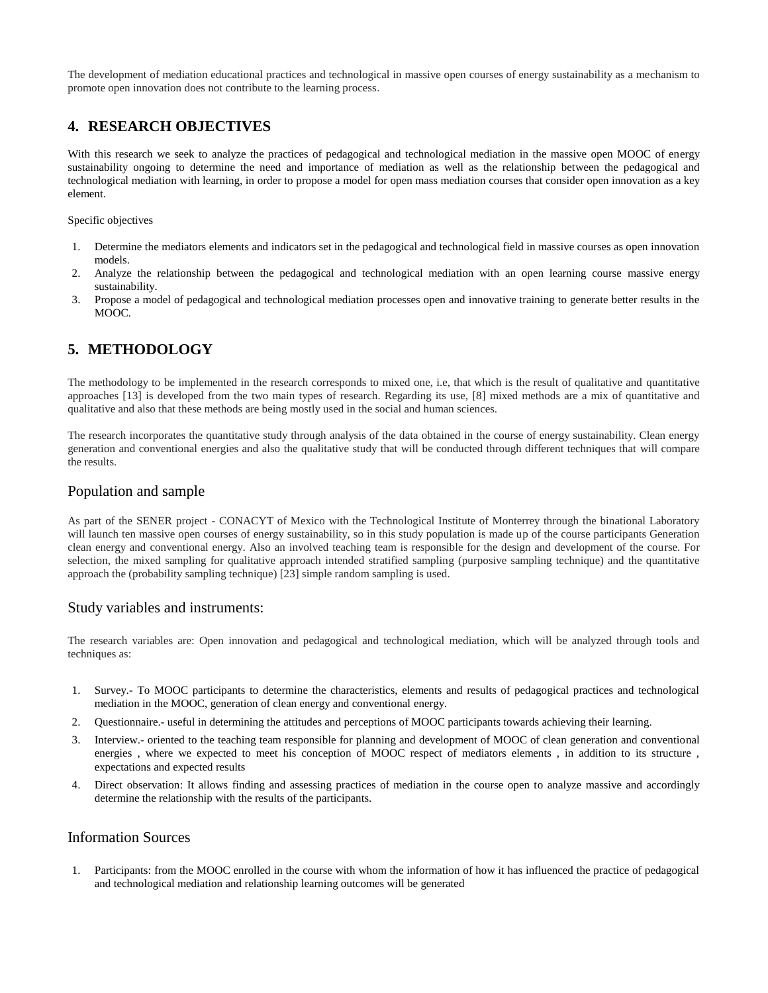The development of mediation educational practices and technological in massive open courses of energy sustainability as a mechanism to promote open innovation does not contribute to the learning process.

## **4. RESEARCH OBJECTIVES**

With this research we seek to analyze the practices of pedagogical and technological mediation in the massive open MOOC of energy sustainability ongoing to determine the need and importance of mediation as well as the relationship between the pedagogical and technological mediation with learning, in order to propose a model for open mass mediation courses that consider open innovation as a key element.

Specific objectives

- 1. Determine the mediators elements and indicators set in the pedagogical and technological field in massive courses as open innovation models.
- 2. Analyze the relationship between the pedagogical and technological mediation with an open learning course massive energy sustainability.
- 3. Propose a model of pedagogical and technological mediation processes open and innovative training to generate better results in the MOOC.

## **5. METHODOLOGY**

The methodology to be implemented in the research corresponds to mixed one, i.e, that which is the result of qualitative and quantitative approaches [13] is developed from the two main types of research. Regarding its use, [8] mixed methods are a mix of quantitative and qualitative and also that these methods are being mostly used in the social and human sciences.

The research incorporates the quantitative study through analysis of the data obtained in the course of energy sustainability. Clean energy generation and conventional energies and also the qualitative study that will be conducted through different techniques that will compare the results.

#### Population and sample

As part of the SENER project - CONACYT of Mexico with the Technological Institute of Monterrey through the binational Laboratory will launch ten massive open courses of energy sustainability, so in this study population is made up of the course participants Generation clean energy and conventional energy. Also an involved teaching team is responsible for the design and development of the course. For selection, the mixed sampling for qualitative approach intended stratified sampling (purposive sampling technique) and the quantitative approach the (probability sampling technique) [23] simple random sampling is used.

#### Study variables and instruments:

The research variables are: Open innovation and pedagogical and technological mediation, which will be analyzed through tools and techniques as:

- 1. Survey.- To MOOC participants to determine the characteristics, elements and results of pedagogical practices and technological mediation in the MOOC, generation of clean energy and conventional energy.
- 2. Questionnaire.- useful in determining the attitudes and perceptions of MOOC participants towards achieving their learning.
- 3. Interview.- oriented to the teaching team responsible for planning and development of MOOC of clean generation and conventional energies , where we expected to meet his conception of MOOC respect of mediators elements , in addition to its structure , expectations and expected results
- 4. Direct observation: It allows finding and assessing practices of mediation in the course open to analyze massive and accordingly determine the relationship with the results of the participants.

#### Information Sources

1. Participants: from the MOOC enrolled in the course with whom the information of how it has influenced the practice of pedagogical and technological mediation and relationship learning outcomes will be generated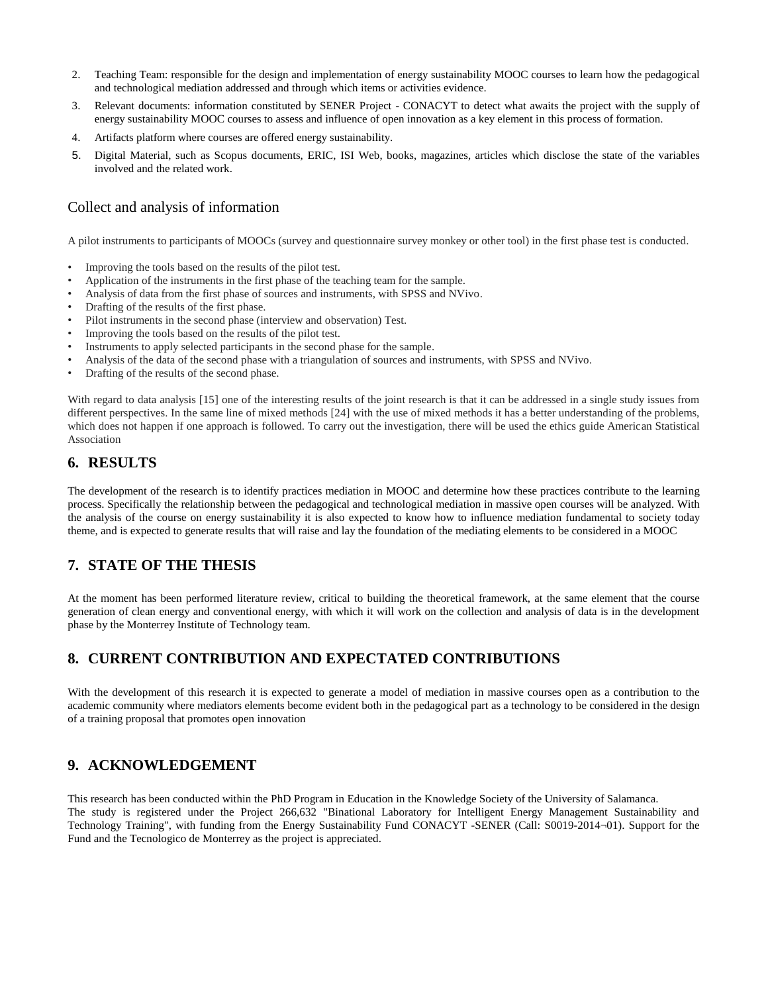- 2. Teaching Team: responsible for the design and implementation of energy sustainability MOOC courses to learn how the pedagogical and technological mediation addressed and through which items or activities evidence.
- 3. Relevant documents: information constituted by SENER Project CONACYT to detect what awaits the project with the supply of energy sustainability MOOC courses to assess and influence of open innovation as a key element in this process of formation.
- 4. Artifacts platform where courses are offered energy sustainability.
- 5. Digital Material, such as Scopus documents, ERIC, ISI Web, books, magazines, articles which disclose the state of the variables involved and the related work.

## Collect and analysis of information

A pilot instruments to participants of MOOCs (survey and questionnaire survey monkey or other tool) in the first phase test is conducted.

- Improving the tools based on the results of the pilot test.
- Application of the instruments in the first phase of the teaching team for the sample.
- Analysis of data from the first phase of sources and instruments, with SPSS and NVivo.
- Drafting of the results of the first phase.
- Pilot instruments in the second phase (interview and observation) Test.
- Improving the tools based on the results of the pilot test.
- Instruments to apply selected participants in the second phase for the sample.
- Analysis of the data of the second phase with a triangulation of sources and instruments, with SPSS and NVivo.
- Drafting of the results of the second phase.

With regard to data analysis [15] one of the interesting results of the joint research is that it can be addressed in a single study issues from different perspectives. In the same line of mixed methods [24] with the use of mixed methods it has a better understanding of the problems, which does not happen if one approach is followed. To carry out the investigation, there will be used the ethics guide American Statistical Association

#### **6. RESULTS**

The development of the research is to identify practices mediation in MOOC and determine how these practices contribute to the learning process. Specifically the relationship between the pedagogical and technological mediation in massive open courses will be analyzed. With the analysis of the course on energy sustainability it is also expected to know how to influence mediation fundamental to society today theme, and is expected to generate results that will raise and lay the foundation of the mediating elements to be considered in a MOOC

## **7. STATE OF THE THESIS**

At the moment has been performed literature review, critical to building the theoretical framework, at the same element that the course generation of clean energy and conventional energy, with which it will work on the collection and analysis of data is in the development phase by the Monterrey Institute of Technology team.

## **8. CURRENT CONTRIBUTION AND EXPECTATED CONTRIBUTIONS**

With the development of this research it is expected to generate a model of mediation in massive courses open as a contribution to the academic community where mediators elements become evident both in the pedagogical part as a technology to be considered in the design of a training proposal that promotes open innovation

## **9. ACKNOWLEDGEMENT**

This research has been conducted within the PhD Program in Education in the Knowledge Society of the University of Salamanca. The study is registered under the Project 266,632 "Binational Laboratory for Intelligent Energy Management Sustainability and Technology Training", with funding from the Energy Sustainability Fund CONACYT -SENER (Call: S0019-2014¬01). Support for the Fund and the Tecnologico de Monterrey as the project is appreciated.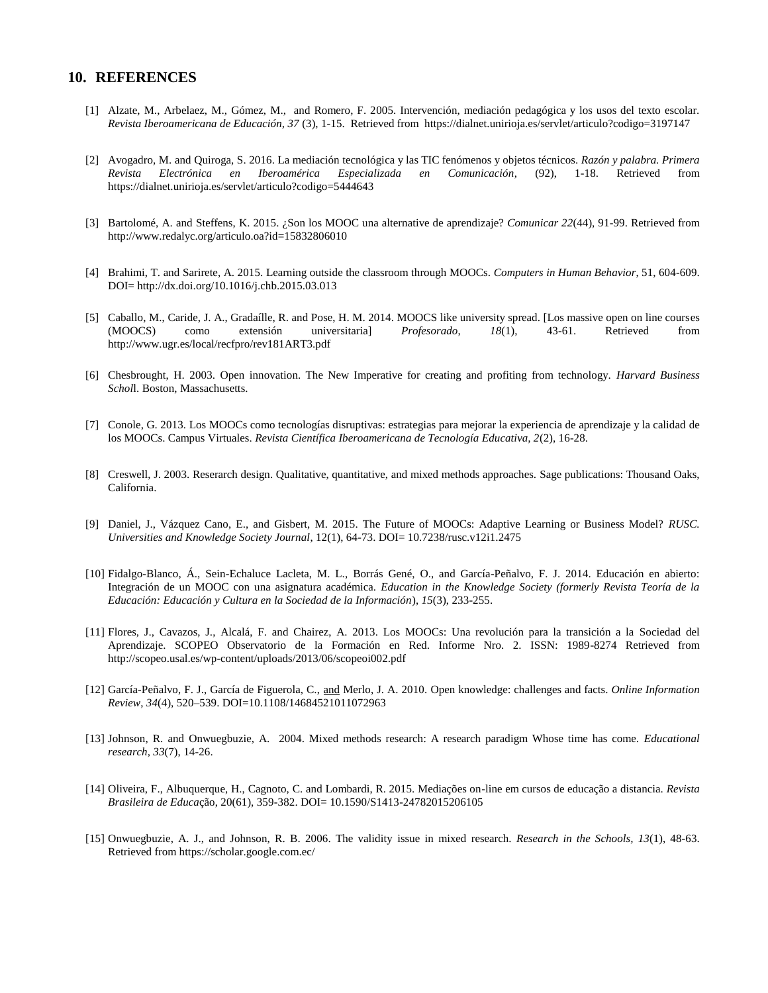#### **10. REFERENCES**

- [1] Alzate, M., Arbelaez, M., Gómez, M., and Romero, F. 2005. Intervención, mediación pedagógica y los usos del texto escolar. *Revista Iberoamericana de Educación, 37* (3), 1-15. Retrieved from https://dialnet.unirioja.es/servlet/articulo?codigo=3197147
- [2] Avogadro, M. and Quiroga, S. 2016. La mediación tecnológica y las TIC fenómenos y objetos técnicos. *Razón y palabra. Primera Revista Electrónica en Iberoamérica Especializada en Comunicación*, (92), 1-18. Retrieved from https://dialnet.unirioja.es/servlet/articulo?codigo=5444643
- [3] Bartolomé, A. and Steffens, K. 2015. ¿Son los MOOC una alternative de aprendizaje? *Comunicar 22*(44), 91-99. Retrieved from <http://www.redalyc.org/articulo.oa?id=15832806010>
- [4] Brahimi, T. and Sarirete, A. 2015. Learning outside the classroom through MOOCs. *Computers in Human Behavior*, 51, 604-609. DOI= http://dx.doi.org/10.1016/j.chb.2015.03.013
- [5] Caballo, M., Caride, J. A., Gradaílle, R. and Pose, H. M. 2014. MOOCS like university spread. [Los massive open on line courses (MOOCS) como extensión universitaria] *Profesorado*, *18*(1), 43-61. Retrieved from http://www.ugr.es/local/recfpro/rev181ART3.pdf
- [6] Chesbrought, H. 2003. Open innovation. The New Imperative for creating and profiting from technology. *Harvard Business Schol*l. Boston, Massachusetts.
- [7] Conole, G. 2013. Los MOOCs como tecnologías disruptivas: estrategias para mejorar la experiencia de aprendizaje y la calidad de los MOOCs. Campus Virtuales. *Revista Científica Iberoamericana de Tecnología Educativa, 2*(2), 16-28.
- [8] Creswell, J. 2003. Reserarch design. Qualitative, quantitative, and mixed methods approaches. Sage publications: Thousand Oaks, California.
- [9] Daniel, J., Vázquez Cano, E., and Gisbert, M. 2015. The Future of MOOCs: Adaptive Learning or Business Model? *RUSC. Universities and Knowledge Society Journal*, 12(1), 64-73. DOI= 10.7238/rusc.v12i1.2475
- [10] Fidalgo-Blanco, Á., Sein-Echaluce Lacleta, M. L., Borrás Gené, O., and García-Peñalvo, F. J. 2014. Educación en abierto: Integración de un MOOC con una asignatura académica. *Education in the Knowledge Society (formerly Revista Teoría de la Educación: Educación y Cultura en la Sociedad de la Información*), *15*(3), 233-255.
- [11] Flores, J., Cavazos, J., Alcalá, F. and Chairez, A. 2013. Los MOOCs: Una revolución para la transición a la Sociedad del Aprendizaje. SCOPEO Observatorio de la Formación en Red. Informe Nro. 2. ISSN: 1989-8274 Retrieved from http://scopeo.usal.es/wp-content/uploads/2013/06/scopeoi002.pdf
- [12] García-Peñalvo, F. J., García de Figuerola, C., and Merlo, J. A. 2010. Open knowledge: challenges and facts. *Online Information Review*, *34*(4), 520–539. DOI=10.1108/14684521011072963
- [13] Johnson, R. and Onwuegbuzie, A. 2004. Mixed methods research: A research paradigm Whose time has come. *Educational research*, *33*(7), 14-26.
- [14] Oliveira, F., Albuquerque, H., Cagnoto, C. and Lombardi, R. 2015. Mediações on-line em cursos de educação a distancia. *Revista Brasileira de Educa*ção, 20(61), 359-382. DOI= 10.1590/S1413-24782015206105
- [15] Onwuegbuzie, A. J., and Johnson, R. B. 2006. The validity issue in mixed research. *Research in the Schools, 13*(1), 48-63. Retrieved from https://scholar.google.com.ec/